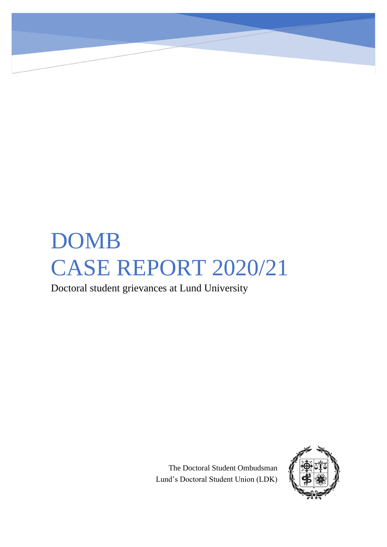# DOMB CASE REPORT 2020/21

Doctoral student grievances at Lund University

The Doctoral Student Ombudsman Lund's Doctoral Student Union (LDK)

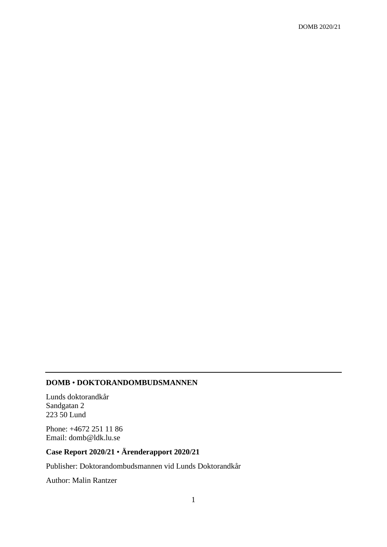# **DOMB** • **DOKTORANDOMBUDSMANNEN**

Lunds doktorandkår Sandgatan 2 223 50 Lund

Phone: +4672 251 11 86 Email: domb@ldk.lu.se

# **Case Report 2020/21** • **Ärenderapport 2020/21**

Publisher: Doktorandombudsmannen vid Lunds Doktorandkår

Author: Malin Rantzer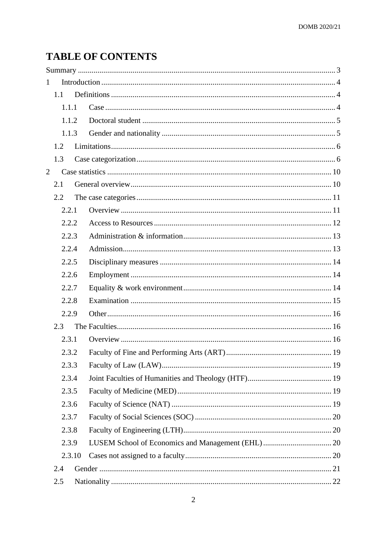# **TABLE OF CONTENTS**

| $\mathbf{1}$   |        |  |  |
|----------------|--------|--|--|
|                | 1.1    |  |  |
|                | 1.1.1  |  |  |
|                | 1.1.2  |  |  |
|                | 1.1.3  |  |  |
|                | 1.2    |  |  |
|                | 1.3    |  |  |
| $\overline{2}$ |        |  |  |
|                | 2.1    |  |  |
|                | 2.2    |  |  |
|                | 2.2.1  |  |  |
|                | 2.2.2  |  |  |
|                | 2.2.3  |  |  |
|                | 2.2.4  |  |  |
|                | 2.2.5  |  |  |
|                | 2.2.6  |  |  |
|                | 2.2.7  |  |  |
|                | 2.2.8  |  |  |
|                | 2.2.9  |  |  |
|                | 2.3    |  |  |
|                | 2.3.1  |  |  |
|                | 2.3.2  |  |  |
|                | 2.3.3  |  |  |
|                | 2.3.4  |  |  |
|                | 2.3.5  |  |  |
|                | 2.3.6  |  |  |
|                | 2.3.7  |  |  |
|                | 2.3.8  |  |  |
|                | 2.3.9  |  |  |
|                | 2.3.10 |  |  |
|                | 2.4    |  |  |
|                | 2.5    |  |  |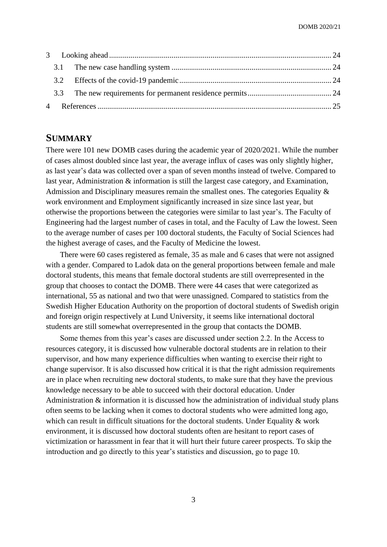# <span id="page-3-0"></span>**SUMMARY**

There were 101 new DOMB cases during the academic year of 2020/2021. While the number of cases almost doubled since last year, the average influx of cases was only slightly higher, as last year's data was collected over a span of seven months instead of twelve. Compared to last year, Administration & information is still the largest case category, and Examination, Admission and Disciplinary measures remain the smallest ones. The categories Equality & work environment and Employment significantly increased in size since last year, but otherwise the proportions between the categories were similar to last year's. The Faculty of Engineering had the largest number of cases in total, and the Faculty of Law the lowest. Seen to the average number of cases per 100 doctoral students, the Faculty of Social Sciences had the highest average of cases, and the Faculty of Medicine the lowest.

There were 60 cases registered as female, 35 as male and 6 cases that were not assigned with a gender. Compared to Ladok data on the general proportions between female and male doctoral students, this means that female doctoral students are still overrepresented in the group that chooses to contact the DOMB. There were 44 cases that were categorized as international, 55 as national and two that were unassigned. Compared to statistics from the Swedish Higher Education Authority on the proportion of doctoral students of Swedish origin and foreign origin respectively at Lund University, it seems like international doctoral students are still somewhat overrepresented in the group that contacts the DOMB.

Some themes from this year's cases are discussed under section 2.2. In the Access to resources category, it is discussed how vulnerable doctoral students are in relation to their supervisor, and how many experience difficulties when wanting to exercise their right to change supervisor. It is also discussed how critical it is that the right admission requirements are in place when recruiting new doctoral students, to make sure that they have the previous knowledge necessary to be able to succeed with their doctoral education. Under Administration & information it is discussed how the administration of individual study plans often seems to be lacking when it comes to doctoral students who were admitted long ago, which can result in difficult situations for the doctoral students. Under Equality  $\&$  work environment, it is discussed how doctoral students often are hesitant to report cases of victimization or harassment in fear that it will hurt their future career prospects. To skip the introduction and go directly to this year's statistics and discussion, go to page 10.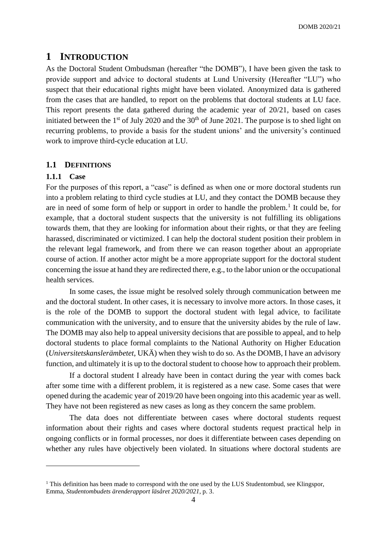# <span id="page-4-0"></span>**1 INTRODUCTION**

As the Doctoral Student Ombudsman (hereafter "the DOMB"), I have been given the task to provide support and advice to doctoral students at Lund University (Hereafter "LU") who suspect that their educational rights might have been violated. Anonymized data is gathered from the cases that are handled, to report on the problems that doctoral students at LU face. This report presents the data gathered during the academic year of 20/21, based on cases initiated between the 1<sup>st</sup> of July 2020 and the  $30<sup>th</sup>$  of June 2021. The purpose is to shed light on recurring problems, to provide a basis for the student unions' and the university's continued work to improve third-cycle education at LU.

# <span id="page-4-1"></span>**1.1 DEFINITIONS**

# <span id="page-4-2"></span>**1.1.1 Case**

For the purposes of this report, a "case" is defined as when one or more doctoral students run into a problem relating to third cycle studies at LU, and they contact the DOMB because they are in need of some form of help or support in order to handle the problem.<sup>1</sup> It could be, for example, that a doctoral student suspects that the university is not fulfilling its obligations towards them, that they are looking for information about their rights, or that they are feeling harassed, discriminated or victimized. I can help the doctoral student position their problem in the relevant legal framework, and from there we can reason together about an appropriate course of action. If another actor might be a more appropriate support for the doctoral student concerning the issue at hand they are redirected there, e.g., to the labor union or the occupational health services.

In some cases, the issue might be resolved solely through communication between me and the doctoral student. In other cases, it is necessary to involve more actors. In those cases, it is the role of the DOMB to support the doctoral student with legal advice, to facilitate communication with the university, and to ensure that the university abides by the rule of law. The DOMB may also help to appeal university decisions that are possible to appeal, and to help doctoral students to place formal complaints to the National Authority on Higher Education (*Universitetskanslerämbetet*, UKÄ) when they wish to do so. As the DOMB, I have an advisory function, and ultimately it is up to the doctoral student to choose how to approach their problem.

If a doctoral student I already have been in contact during the year with comes back after some time with a different problem, it is registered as a new case. Some cases that were opened during the academic year of 2019/20 have been ongoing into this academic year as well. They have not been registered as new cases as long as they concern the same problem.

The data does not differentiate between cases where doctoral students request information about their rights and cases where doctoral students request practical help in ongoing conflicts or in formal processes, nor does it differentiate between cases depending on whether any rules have objectively been violated. In situations where doctoral students are

<sup>&</sup>lt;sup>1</sup> This definition has been made to correspond with the one used by the LUS Studentombud, see Klingspor, Emma, *Studentombudets ärenderapport läsåret 2020/2021*, p. 3.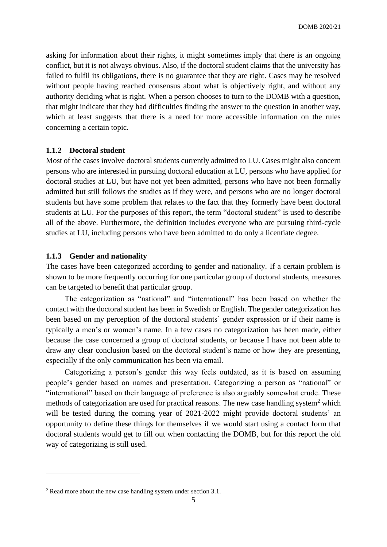asking for information about their rights, it might sometimes imply that there is an ongoing conflict, but it is not always obvious. Also, if the doctoral student claims that the university has failed to fulfil its obligations, there is no guarantee that they are right. Cases may be resolved without people having reached consensus about what is objectively right, and without any authority deciding what is right. When a person chooses to turn to the DOMB with a question, that might indicate that they had difficulties finding the answer to the question in another way, which at least suggests that there is a need for more accessible information on the rules concerning a certain topic.

# <span id="page-5-0"></span>**1.1.2 Doctoral student**

Most of the cases involve doctoral students currently admitted to LU. Cases might also concern persons who are interested in pursuing doctoral education at LU, persons who have applied for doctoral studies at LU, but have not yet been admitted, persons who have not been formally admitted but still follows the studies as if they were, and persons who are no longer doctoral students but have some problem that relates to the fact that they formerly have been doctoral students at LU. For the purposes of this report, the term "doctoral student" is used to describe all of the above. Furthermore, the definition includes everyone who are pursuing third-cycle studies at LU, including persons who have been admitted to do only a licentiate degree.

#### <span id="page-5-1"></span>**1.1.3 Gender and nationality**

The cases have been categorized according to gender and nationality. If a certain problem is shown to be more frequently occurring for one particular group of doctoral students, measures can be targeted to benefit that particular group.

The categorization as "national" and "international" has been based on whether the contact with the doctoral student has been in Swedish or English. The gender categorization has been based on my perception of the doctoral students' gender expression or if their name is typically a men's or women's name. In a few cases no categorization has been made, either because the case concerned a group of doctoral students, or because I have not been able to draw any clear conclusion based on the doctoral student's name or how they are presenting, especially if the only communication has been via email.

Categorizing a person's gender this way feels outdated, as it is based on assuming people's gender based on names and presentation. Categorizing a person as "national" or "international" based on their language of preference is also arguably somewhat crude. These methods of categorization are used for practical reasons. The new case handling system<sup>2</sup> which will be tested during the coming year of 2021-2022 might provide doctoral students' an opportunity to define these things for themselves if we would start using a contact form that doctoral students would get to fill out when contacting the DOMB, but for this report the old way of categorizing is still used.

<sup>2</sup> Read more about the new case handling system under section 3.1.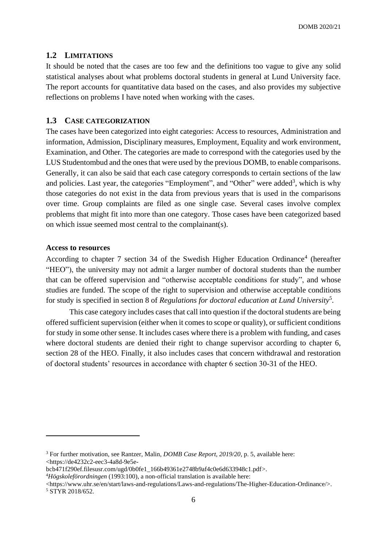DOMB 2020/21

# <span id="page-6-0"></span>**1.2 LIMITATIONS**

It should be noted that the cases are too few and the definitions too vague to give any solid statistical analyses about what problems doctoral students in general at Lund University face. The report accounts for quantitative data based on the cases, and also provides my subjective reflections on problems I have noted when working with the cases.

# <span id="page-6-1"></span>**1.3 CASE CATEGORIZATION**

The cases have been categorized into eight categories: Access to resources, Administration and information, Admission, Disciplinary measures, Employment, Equality and work environment, Examination, and Other. The categories are made to correspond with the categories used by the LUS Studentombud and the ones that were used by the previous DOMB, to enable comparisons. Generally, it can also be said that each case category corresponds to certain sections of the law and policies. Last year, the categories "Employment", and "Other" were added<sup>3</sup>, which is why those categories do not exist in the data from previous years that is used in the comparisons over time. Group complaints are filed as one single case. Several cases involve complex problems that might fit into more than one category. Those cases have been categorized based on which issue seemed most central to the complainant(s).

#### **Access to resources**

According to chapter 7 section 34 of the Swedish Higher Education Ordinance<sup>4</sup> (hereafter "HEO"), the university may not admit a larger number of doctoral students than the number that can be offered supervision and "otherwise acceptable conditions for study", and whose studies are funded. The scope of the right to supervision and otherwise acceptable conditions for study is specified in section 8 of *Regulations for doctoral education at Lund University*<sup>5</sup> *.* 

This case category includes cases that call into question if the doctoral students are being offered sufficient supervision (either when it comes to scope or quality), or sufficient conditions for study in some other sense. It includes cases where there is a problem with funding, and cases where doctoral students are denied their right to change supervisor according to chapter 6, section 28 of the HEO. Finally, it also includes cases that concern withdrawal and restoration of doctoral students' resources in accordance with chapter 6 section 30-31 of the HEO.

<https://www.uhr.se/en/start/laws-and-regulations/Laws-and-regulations/The-Higher-Education-Ordinance/>. <sup>5</sup> STYR 2018/652.

<sup>3</sup> For further motivation, see Rantzer, Malin, *DOMB Case Report, 2019/20*, p. 5, available here: <https://de4232c2-eec3-4a8d-9e5e-

bcb471f290ef.filesusr.com/ugd/0b0fe1\_166b49361e2748b9af4c0e6d633948c1.pdf>.

<sup>4</sup>*Högskoleförordningen* (1993:100), a non-official translation is available here: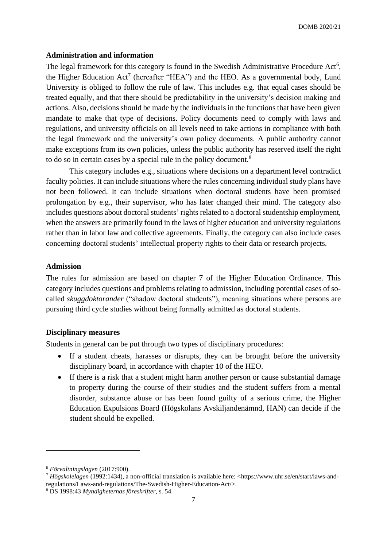# **Administration and information**

The legal framework for this category is found in the Swedish Administrative Procedure Act<sup>6</sup>, the Higher Education  $Act^7$  (hereafter "HEA") and the HEO. As a governmental body, Lund University is obliged to follow the rule of law. This includes e.g. that equal cases should be treated equally, and that there should be predictability in the university's decision making and actions. Also, decisions should be made by the individuals in the functions that have been given mandate to make that type of decisions. Policy documents need to comply with laws and regulations, and university officials on all levels need to take actions in compliance with both the legal framework and the university's own policy documents. A public authority cannot make exceptions from its own policies, unless the public authority has reserved itself the right to do so in certain cases by a special rule in the policy document.<sup>8</sup>

This category includes e.g., situations where decisions on a department level contradict faculty policies. It can include situations where the rules concerning individual study plans have not been followed. It can include situations when doctoral students have been promised prolongation by e.g., their supervisor, who has later changed their mind. The category also includes questions about doctoral students' rights related to a doctoral studentship employment, when the answers are primarily found in the laws of higher education and university regulations rather than in labor law and collective agreements. Finally, the category can also include cases concerning doctoral students' intellectual property rights to their data or research projects.

# **Admission**

The rules for admission are based on chapter 7 of the Higher Education Ordinance. This category includes questions and problems relating to admission, including potential cases of socalled *skuggdoktorander* ("shadow doctoral students"), meaning situations where persons are pursuing third cycle studies without being formally admitted as doctoral students.

# **Disciplinary measures**

Students in general can be put through two types of disciplinary procedures:

- If a student cheats, harasses or disrupts, they can be brought before the university disciplinary board, in accordance with chapter 10 of the HEO.
- If there is a risk that a student might harm another person or cause substantial damage to property during the course of their studies and the student suffers from a mental disorder, substance abuse or has been found guilty of a serious crime, the Higher Education Expulsions Board (Högskolans Avskiljandenämnd, HAN) can decide if the student should be expelled.

<sup>6</sup> *Förvaltningslagen* (2017:900).

<sup>7</sup> *Högskolelagen* (1992:1434), a non-official translation is available here: <https://www.uhr.se/en/start/laws-andregulations/Laws-and-regulations/The-Swedish-Higher-Education-Act/>.

<sup>8</sup> DS 1998:43 *Myndigheternas föreskrifter*, s. 54.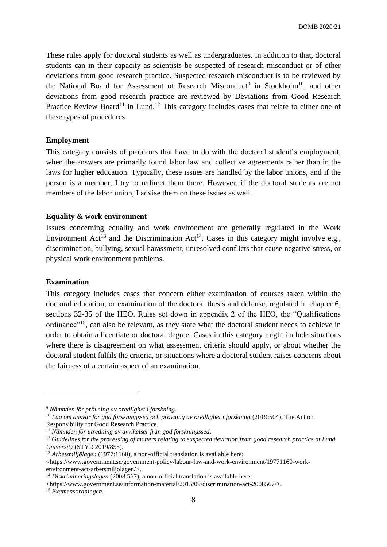These rules apply for doctoral students as well as undergraduates. In addition to that, doctoral students can in their capacity as scientists be suspected of research misconduct or of other deviations from good research practice. Suspected research misconduct is to be reviewed by the National Board for Assessment of Research Misconduct<sup>9</sup> in Stockholm<sup>10</sup>, and other deviations from good research practice are reviewed by Deviations from Good Research Practice Review Board<sup>11</sup> in Lund.<sup>12</sup> This category includes cases that relate to either one of these types of procedures.

# **Employment**

This category consists of problems that have to do with the doctoral student's employment, when the answers are primarily found labor law and collective agreements rather than in the laws for higher education. Typically, these issues are handled by the labor unions, and if the person is a member, I try to redirect them there. However, if the doctoral students are not members of the labor union, I advise them on these issues as well.

#### **Equality & work environment**

Issues concerning equality and work environment are generally regulated in the Work Environment Act<sup>13</sup> and the Discrimination Act<sup>14</sup>. Cases in this category might involve e.g., discrimination, bullying, sexual harassment, unresolved conflicts that cause negative stress, or physical work environment problems.

## **Examination**

This category includes cases that concern either examination of courses taken within the doctoral education, or examination of the doctoral thesis and defense, regulated in chapter 6, sections 32-35 of the HEO. Rules set down in appendix 2 of the HEO, the "Qualifications ordinance<sup>"15</sup>, can also be relevant, as they state what the doctoral student needs to achieve in order to obtain a licentiate or doctoral degree. Cases in this category might include situations where there is disagreement on what assessment criteria should apply, or about whether the doctoral student fulfils the criteria, or situations where a doctoral student raises concerns about the fairness of a certain aspect of an examination.

<sup>9</sup> *Nämnden för prövning av oredlighet i forskning*.

<sup>&</sup>lt;sup>10</sup> Lag om ansvar för god forskningssed och prövning av oredlighet i forskning (2019:504). The Act on Responsibility for Good Research Practice.

<sup>11</sup> *Nämnden för utredning av avvikelser från god forskningssed*.

<sup>12</sup> *Guidelines for the processing of matters relating to suspected deviation from good research practice at Lund University* (STYR 2019/855).

<sup>&</sup>lt;sup>13</sup> *Arbetsmiljölagen* (1977:1160), a non-official translation is available here:

<sup>&</sup>lt;https://www.government.se/government-policy/labour-law-and-work-environment/19771160-workenvironment-act-arbetsmiljolagen/>.

<sup>&</sup>lt;sup>14</sup> *Diskrimineringslagen* (2008:567), a non-official translation is available here:

 $\lt$ https://www.government.se/information-material/2015/09/discrimination-act-2008567/ $\gt$ .

<sup>15</sup> *Examensordningen*.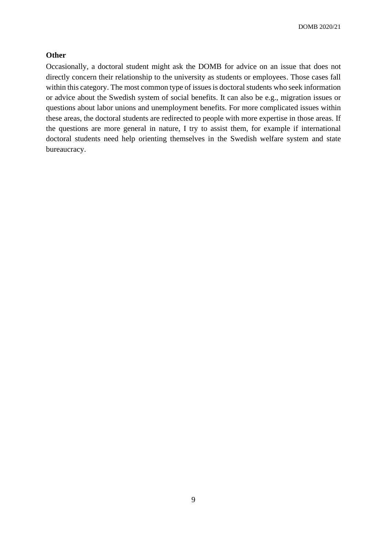# **Other**

Occasionally, a doctoral student might ask the DOMB for advice on an issue that does not directly concern their relationship to the university as students or employees. Those cases fall within this category. The most common type of issues is doctoral students who seek information or advice about the Swedish system of social benefits. It can also be e.g., migration issues or questions about labor unions and unemployment benefits. For more complicated issues within these areas, the doctoral students are redirected to people with more expertise in those areas. If the questions are more general in nature, I try to assist them, for example if international doctoral students need help orienting themselves in the Swedish welfare system and state bureaucracy.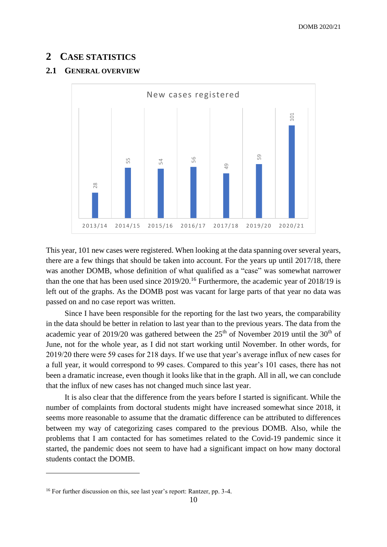# <span id="page-10-0"></span>**2 CASE STATISTICS**

# <span id="page-10-1"></span>**2.1 GENERAL OVERVIEW**



This year, 101 new cases were registered. When looking at the data spanning over several years, there are a few things that should be taken into account. For the years up until 2017/18, there was another DOMB, whose definition of what qualified as a "case" was somewhat narrower than the one that has been used since 2019/20.<sup>16</sup> Furthermore, the academic year of 2018/19 is left out of the graphs. As the DOMB post was vacant for large parts of that year no data was passed on and no case report was written.

Since I have been responsible for the reporting for the last two years, the comparability in the data should be better in relation to last year than to the previous years. The data from the academic year of 2019/20 was gathered between the  $25<sup>th</sup>$  of November 2019 until the  $30<sup>th</sup>$  of June, not for the whole year, as I did not start working until November. In other words, for 2019/20 there were 59 cases for 218 days. If we use that year's average influx of new cases for a full year, it would correspond to 99 cases. Compared to this year's 101 cases, there has not been a dramatic increase, even though it looks like that in the graph. All in all, we can conclude that the influx of new cases has not changed much since last year. <sup>16</sup><br>
<sup>16</sup> For further discussion on this, see last year 101 new cases were registered. When looking at there are a few things that should be taken into account. From the one that has been used since 2019/20.<sup>16</sup> Furtherm

It is also clear that the difference from the years before I started is significant. While the number of complaints from doctoral students might have increased somewhat since 2018, it seems more reasonable to assume that the dramatic difference can be attributed to differences between my way of categorizing cases compared to the previous DOMB. Also, while the problems that I am contacted for has sometimes related to the Covid-19 pandemic since it started, the pandemic does not seem to have had a significant impact on how many doctoral students contact the DOMB.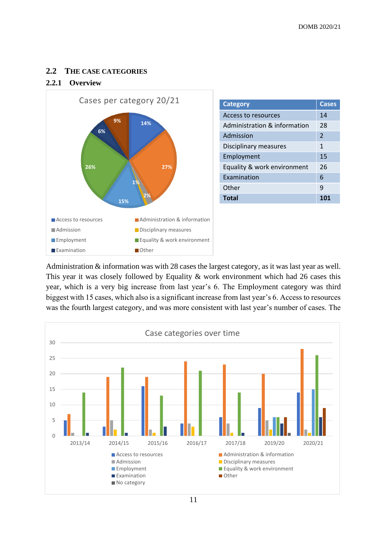# <span id="page-11-0"></span>**2.2 THE CASE CATEGORIES**

# <span id="page-11-1"></span>**2.2.1 Overview**



| <b>Category</b>              | <b>Cases</b>   |
|------------------------------|----------------|
| Access to resources          | 14             |
| Administration & information | 28             |
| Admission                    | $\overline{2}$ |
| Disciplinary measures        | 1              |
| Employment                   | 15             |
| Equality & work environment  | 26             |
| Examination                  | 6              |
| Other                        | q              |
| <b>Total</b>                 |                |

Administration & information was with 28 cases the largest category, as it was last year as well. This year it was closely followed by Equality & work environment which had 26 cases this year, which is a very big increase from last year's 6. The Employment category was third biggest with 15 cases, which also is a significant increase from last year's 6. Access to resources was the fourth largest category, and was more consistent with last year's number of cases. The

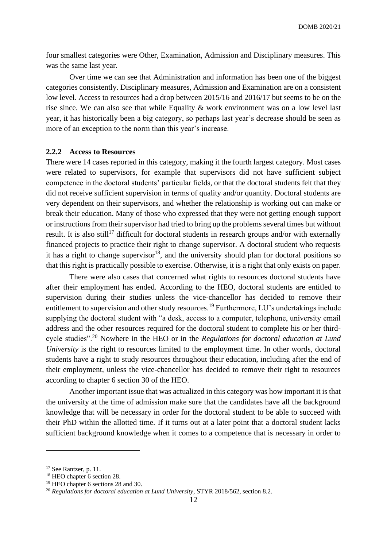four smallest categories were Other, Examination, Admission and Disciplinary measures. This was the same last year.

Over time we can see that Administration and information has been one of the biggest categories consistently. Disciplinary measures, Admission and Examination are on a consistent low level. Access to resources had a drop between 2015/16 and 2016/17 but seems to be on the rise since. We can also see that while Equality & work environment was on a low level last year, it has historically been a big category, so perhaps last year's decrease should be seen as more of an exception to the norm than this year's increase.

# <span id="page-12-0"></span>**2.2.2 Access to Resources**

There were 14 cases reported in this category, making it the fourth largest category. Most cases were related to supervisors, for example that supervisors did not have sufficient subject competence in the doctoral students' particular fields, or that the doctoral students felt that they did not receive sufficient supervision in terms of quality and/or quantity. Doctoral students are very dependent on their supervisors, and whether the relationship is working out can make or break their education. Many of those who expressed that they were not getting enough support or instructions from their supervisor had tried to bring up the problems several times but without result. It is also still<sup>17</sup> difficult for doctoral students in research groups and/or with externally financed projects to practice their right to change supervisor. A doctoral student who requests it has a right to change supervisor<sup>18</sup>, and the university should plan for doctoral positions so that this right is practically possible to exercise. Otherwise, it is a right that only exists on paper.

There were also cases that concerned what rights to resources doctoral students have after their employment has ended. According to the HEO, doctoral students are entitled to supervision during their studies unless the vice-chancellor has decided to remove their entitlement to supervision and other study resources.<sup>19</sup> Furthermore, LU's undertakings include supplying the doctoral student with "a desk, access to a computer, telephone, university email address and the other resources required for the doctoral student to complete his or her thirdcycle studies".<sup>20</sup> Nowhere in the HEO or in the *Regulations for doctoral education at Lund University* is the right to resources limited to the employment time. In other words, doctoral students have a right to study resources throughout their education, including after the end of their employment, unless the vice-chancellor has decided to remove their right to resources according to chapter 6 section 30 of the HEO.

Another important issue that was actualized in this category was how important it is that the university at the time of admission make sure that the candidates have all the background knowledge that will be necessary in order for the doctoral student to be able to succeed with their PhD within the allotted time. If it turns out at a later point that a doctoral student lacks sufficient background knowledge when it comes to a competence that is necessary in order to

<sup>&</sup>lt;sup>17</sup> See Rantzer, p. 11.

<sup>&</sup>lt;sup>18</sup> HEO chapter 6 section 28.

<sup>&</sup>lt;sup>19</sup> HEO chapter 6 sections 28 and 30.

<sup>20</sup> *Regulations for doctoral education at Lund University*, STYR 2018/562, section 8.2.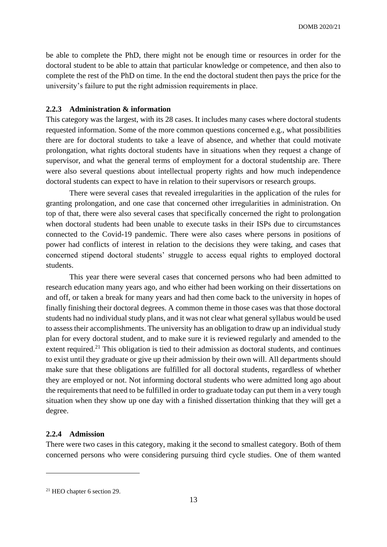be able to complete the PhD, there might not be enough time or resources in order for the doctoral student to be able to attain that particular knowledge or competence, and then also to complete the rest of the PhD on time. In the end the doctoral student then pays the price for the university's failure to put the right admission requirements in place.

#### <span id="page-13-0"></span>**2.2.3 Administration & information**

This category was the largest, with its 28 cases. It includes many cases where doctoral students requested information. Some of the more common questions concerned e.g., what possibilities there are for doctoral students to take a leave of absence, and whether that could motivate prolongation, what rights doctoral students have in situations when they request a change of supervisor, and what the general terms of employment for a doctoral studentship are. There were also several questions about intellectual property rights and how much independence doctoral students can expect to have in relation to their supervisors or research groups.

There were several cases that revealed irregularities in the application of the rules for granting prolongation, and one case that concerned other irregularities in administration. On top of that, there were also several cases that specifically concerned the right to prolongation when doctoral students had been unable to execute tasks in their ISPs due to circumstances connected to the Covid-19 pandemic. There were also cases where persons in positions of power had conflicts of interest in relation to the decisions they were taking, and cases that concerned stipend doctoral students' struggle to access equal rights to employed doctoral students.

This year there were several cases that concerned persons who had been admitted to research education many years ago, and who either had been working on their dissertations on and off, or taken a break for many years and had then come back to the university in hopes of finally finishing their doctoral degrees. A common theme in those cases was that those doctoral students had no individual study plans, and it was not clear what general syllabus would be used to assess their accomplishments. The university has an obligation to draw up an individual study plan for every doctoral student, and to make sure it is reviewed regularly and amended to the extent required.<sup>21</sup> This obligation is tied to their admission as doctoral students, and continues to exist until they graduate or give up their admission by their own will. All departments should make sure that these obligations are fulfilled for all doctoral students, regardless of whether they are employed or not. Not informing doctoral students who were admitted long ago about the requirements that need to be fulfilled in order to graduate today can put them in a very tough situation when they show up one day with a finished dissertation thinking that they will get a degree.

# <span id="page-13-1"></span>**2.2.4 Admission**

There were two cases in this category, making it the second to smallest category. Both of them concerned persons who were considering pursuing third cycle studies. One of them wanted

<sup>21</sup> HEO chapter 6 section 29.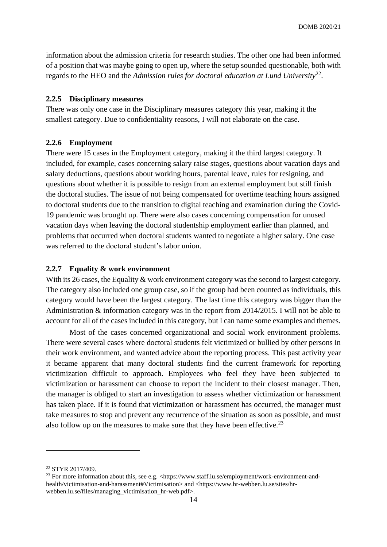information about the admission criteria for research studies. The other one had been informed of a position that was maybe going to open up, where the setup sounded questionable, both with regards to the HEO and the *Admission rules for doctoral education at Lund University*<sup>22</sup> .

# <span id="page-14-0"></span>**2.2.5 Disciplinary measures**

There was only one case in the Disciplinary measures category this year, making it the smallest category. Due to confidentiality reasons, I will not elaborate on the case.

# <span id="page-14-1"></span>**2.2.6 Employment**

There were 15 cases in the Employment category, making it the third largest category. It included, for example, cases concerning salary raise stages, questions about vacation days and salary deductions, questions about working hours, parental leave, rules for resigning, and questions about whether it is possible to resign from an external employment but still finish the doctoral studies. The issue of not being compensated for overtime teaching hours assigned to doctoral students due to the transition to digital teaching and examination during the Covid-19 pandemic was brought up. There were also cases concerning compensation for unused vacation days when leaving the doctoral studentship employment earlier than planned, and problems that occurred when doctoral students wanted to negotiate a higher salary. One case was referred to the doctoral student's labor union.

# <span id="page-14-2"></span>**2.2.7 Equality & work environment**

With its 26 cases, the Equality & work environment category was the second to largest category. The category also included one group case, so if the group had been counted as individuals, this category would have been the largest category. The last time this category was bigger than the Administration & information category was in the report from 2014/2015. I will not be able to account for all of the cases included in this category, but I can name some examples and themes.

Most of the cases concerned organizational and social work environment problems. There were several cases where doctoral students felt victimized or bullied by other persons in their work environment, and wanted advice about the reporting process. This past activity year it became apparent that many doctoral students find the current framework for reporting victimization difficult to approach. Employees who feel they have been subjected to victimization or harassment can choose to report the incident to their closest manager. Then, the manager is obliged to start an investigation to assess whether victimization or harassment has taken place. If it is found that victimization or harassment has occurred, the manager must take measures to stop and prevent any recurrence of the situation as soon as possible, and must also follow up on the measures to make sure that they have been effective.<sup>23</sup>

<sup>22</sup> STYR 2017/409.

<sup>&</sup>lt;sup>23</sup> For more information about this, see e.g. <https://www.staff.lu.se/employment/work-environment-andhealth/victimisation-and-harassment#Victimisation> and <https://www.hr-webben.lu.se/sites/hrwebben.lu.se/files/managing\_victimisation\_hr-web.pdf>.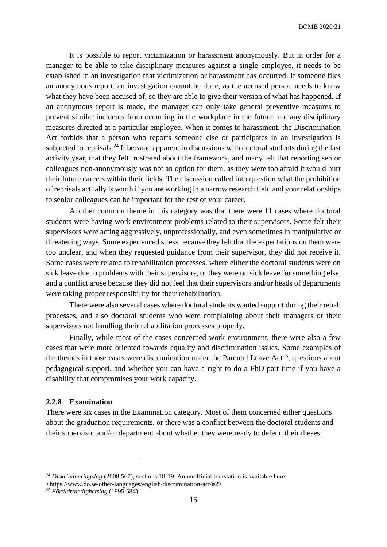It is possible to report victimization or harassment anonymously. But in order for a manager to be able to take disciplinary measures against a single employee, it needs to be established in an investigation that victimization or harassment has occurred. If someone files an anonymous report, an investigation cannot be done, as the accused person needs to know what they have been accused of, so they are able to give their version of what has happened. If an anonymous report is made, the manager can only take general preventive measures to prevent similar incidents from occurring in the workplace in the future, not any disciplinary measures directed at a particular employee. When it comes to harassment, the Discrimination Act forbids that a person who reports someone else or participates in an investigation is subjected to reprisals.<sup>24</sup> It became apparent in discussions with doctoral students during the last activity year, that they felt frustrated about the framework, and many felt that reporting senior colleagues non-anonymously was not an option for them, as they were too afraid it would hurt their future careers within their fields. The discussion called into question what the prohibition of reprisals actually is worth if you are working in a narrow research field and your relationships to senior colleagues can be important for the rest of your career.

Another common theme in this category was that there were 11 cases where doctoral students were having work environment problems related to their supervisors. Some felt their supervisors were acting aggressively, unprofessionally, and even sometimes in manipulative or threatening ways. Some experienced stress because they felt that the expectations on them were too unclear, and when they requested guidance from their supervisor, they did not receive it. Some cases were related to rehabilitation processes, where either the doctoral students were on sick leave due to problems with their supervisors, or they were on sick leave for something else, and a conflict arose because they did not feel that their supervisors and/or heads of departments were taking proper responsibility for their rehabilitation.

There were also several cases where doctoral students wanted support during their rehab processes, and also doctoral students who were complaining about their managers or their supervisors not handling their rehabilitation processes properly.

Finally, while most of the cases concerned work environment, there were also a few cases that were more oriented towards equality and discrimination issues. Some examples of the themes in those cases were discrimination under the Parental Leave Act<sup>25</sup>, questions about pedagogical support, and whether you can have a right to do a PhD part time if you have a disability that compromises your work capacity.

# <span id="page-15-0"></span>**2.2.8 Examination**

There were six cases in the Examination category. Most of them concerned either questions about the graduation requirements, or there was a conflict between the doctoral students and their supervisor and/or department about whether they were ready to defend their theses.

<sup>24</sup> *Diskrimineringslag* (2008:567), sections 18-19. An unofficial translation is available here: <https://www.do.se/other-languages/english/discrimination-act/#2>

<sup>25</sup> *Föräldraledighetslag* (1995:584)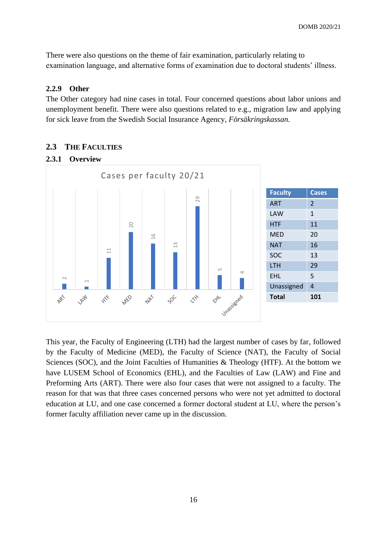There were also questions on the theme of fair examination, particularly relating to examination language, and alternative forms of examination due to doctoral students' illness.

# <span id="page-16-0"></span>**2.2.9 Other**

The Other category had nine cases in total. Four concerned questions about labor unions and unemployment benefit. There were also questions related to e.g., migration law and applying for sick leave from the Swedish Social Insurance Agency, *Försäkringskassan.*

# <span id="page-16-1"></span>**2.3 THE FACULTIES**

# <span id="page-16-2"></span>**2.3.1 Overview**



This year, the Faculty of Engineering (LTH) had the largest number of cases by far, followed by the Faculty of Medicine (MED), the Faculty of Science (NAT), the Faculty of Social Sciences (SOC), and the Joint Faculties of Humanities & Theology (HTF). At the bottom we have LUSEM School of Economics (EHL), and the Faculties of Law (LAW) and Fine and Preforming Arts (ART). There were also four cases that were not assigned to a faculty. The reason for that was that three cases concerned persons who were not yet admitted to doctoral education at LU, and one case concerned a former doctoral student at LU, where the person's former faculty affiliation never came up in the discussion.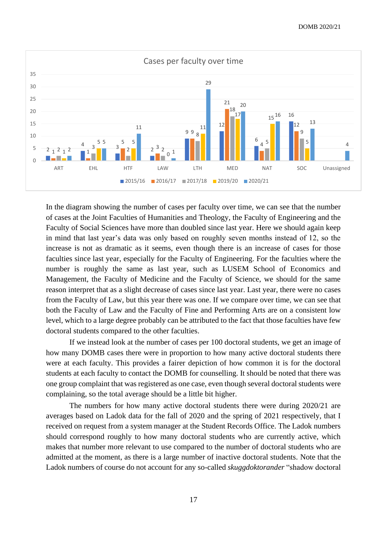

In the diagram showing the number of cases per faculty over time, we can see that the number of cases at the Joint Faculties of Humanities and Theology, the Faculty of Engineering and the Faculty of Social Sciences have more than doubled since last year. Here we should again keep in mind that last year's data was only based on roughly seven months instead of 12, so the increase is not as dramatic as it seems, even though there is an increase of cases for those faculties since last year, especially for the Faculty of Engineering. For the faculties where the number is roughly the same as last year, such as LUSEM School of Economics and Management, the Faculty of Medicine and the Faculty of Science, we should for the same reason interpret that as a slight decrease of cases since last year. Last year, there were no cases from the Faculty of Law, but this year there was one. If we compare over time, we can see that both the Faculty of Law and the Faculty of Fine and Performing Arts are on a consistent low level, which to a large degree probably can be attributed to the fact that those faculties have few doctoral students compared to the other faculties.

If we instead look at the number of cases per 100 doctoral students, we get an image of how many DOMB cases there were in proportion to how many active doctoral students there were at each faculty. This provides a fairer depiction of how common it is for the doctoral students at each faculty to contact the DOMB for counselling. It should be noted that there was one group complaint that was registered as one case, even though several doctoral students were complaining, so the total average should be a little bit higher.

The numbers for how many active doctoral students there were during 2020/21 are averages based on Ladok data for the fall of 2020 and the spring of 2021 respectively, that I received on request from a system manager at the Student Records Office. The Ladok numbers should correspond roughly to how many doctoral students who are currently active, which makes that number more relevant to use compared to the number of doctoral students who are admitted at the moment, as there is a large number of inactive doctoral students. Note that the Ladok numbers of course do not account for any so-called *skuggdoktorander* "shadow doctoral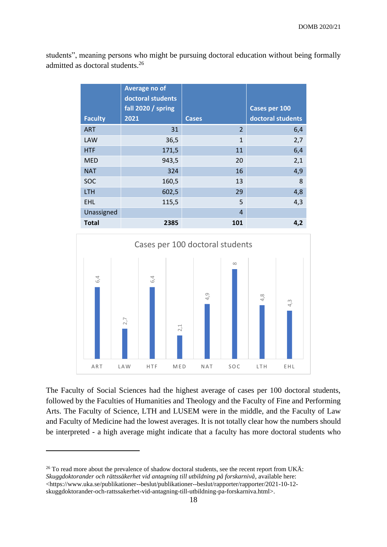students", meaning persons who might be pursuing doctoral education without being formally admitted as doctoral students.<sup>26</sup>

| <b>Faculty</b> | Average no of<br>doctoral students<br>fall 2020 / spring<br>2021 | <b>Cases</b>   | Cases per 100<br>doctoral students |
|----------------|------------------------------------------------------------------|----------------|------------------------------------|
| <b>ART</b>     | 31                                                               | $\overline{2}$ | 6,4                                |
| LAW            | 36,5                                                             | $\overline{1}$ | 2,7                                |
| <b>HTF</b>     | 171,5                                                            | 11             | 6,4                                |
| <b>MED</b>     | 943,5                                                            | 20             | 2,1                                |
| <b>NAT</b>     | 324                                                              | 16             | 4,9                                |
| <b>SOC</b>     | 160,5                                                            | 13             | 8                                  |
| <b>LTH</b>     | 602,5                                                            | 29             | 4,8                                |
| <b>EHL</b>     | 115,5                                                            | 5              | 4,3                                |
| Unassigned     |                                                                  | $\overline{4}$ |                                    |
| <b>Total</b>   | 2385                                                             | 101            | 4,2                                |



The Faculty of Social Sciences had the highest average of cases per 100 doctoral students, followed by the Faculties of Humanities and Theology and the Faculty of Fine and Performing Arts. The Faculty of Science, LTH and LUSEM were in the middle, and the Faculty of Law and Faculty of Medicine had the lowest averages. It is not totally clear how the numbers should be interpreted - a high average might indicate that a faculty has more doctoral students who

<sup>&</sup>lt;sup>26</sup> To read more about the prevalence of shadow doctoral students, see the recent report from UKÄ: *Skuggdoktorander och rättssäkerhet vid antagning till utbildning på forskarnivå*, available here:  $\langle$ https://www.uka.se/publikationer--beslut/publikationer--beslut/rapporter/rapporter/2021-10-12-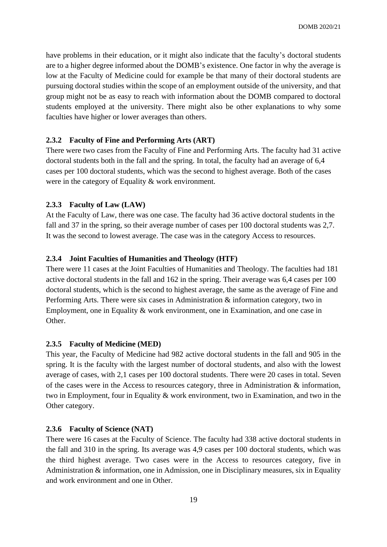have problems in their education, or it might also indicate that the faculty's doctoral students are to a higher degree informed about the DOMB's existence. One factor in why the average is low at the Faculty of Medicine could for example be that many of their doctoral students are pursuing doctoral studies within the scope of an employment outside of the university, and that group might not be as easy to reach with information about the DOMB compared to doctoral students employed at the university. There might also be other explanations to why some faculties have higher or lower averages than others.

# <span id="page-19-0"></span>**2.3.2 Faculty of Fine and Performing Arts (ART)**

There were two cases from the Faculty of Fine and Performing Arts. The faculty had 31 active doctoral students both in the fall and the spring. In total, the faculty had an average of 6,4 cases per 100 doctoral students, which was the second to highest average. Both of the cases were in the category of Equality & work environment.

# <span id="page-19-1"></span>**2.3.3 Faculty of Law (LAW)**

At the Faculty of Law, there was one case. The faculty had 36 active doctoral students in the fall and 37 in the spring, so their average number of cases per 100 doctoral students was 2.7. It was the second to lowest average. The case was in the category Access to resources.

# <span id="page-19-2"></span>**2.3.4 Joint Faculties of Humanities and Theology (HTF)**

There were 11 cases at the Joint Faculties of Humanities and Theology. The faculties had 181 active doctoral students in the fall and 162 in the spring. Their average was 6,4 cases per 100 doctoral students, which is the second to highest average, the same as the average of Fine and Performing Arts. There were six cases in Administration & information category, two in Employment, one in Equality & work environment, one in Examination, and one case in Other.

# <span id="page-19-3"></span>**2.3.5 Faculty of Medicine (MED)**

This year, the Faculty of Medicine had 982 active doctoral students in the fall and 905 in the spring. It is the faculty with the largest number of doctoral students, and also with the lowest average of cases, with 2,1 cases per 100 doctoral students. There were 20 cases in total. Seven of the cases were in the Access to resources category, three in Administration & information, two in Employment, four in Equality & work environment, two in Examination, and two in the Other category.

#### <span id="page-19-4"></span>**2.3.6 Faculty of Science (NAT)**

There were 16 cases at the Faculty of Science. The faculty had 338 active doctoral students in the fall and 310 in the spring. Its average was 4,9 cases per 100 doctoral students, which was the third highest average. Two cases were in the Access to resources category, five in Administration & information, one in Admission, one in Disciplinary measures, six in Equality and work environment and one in Other.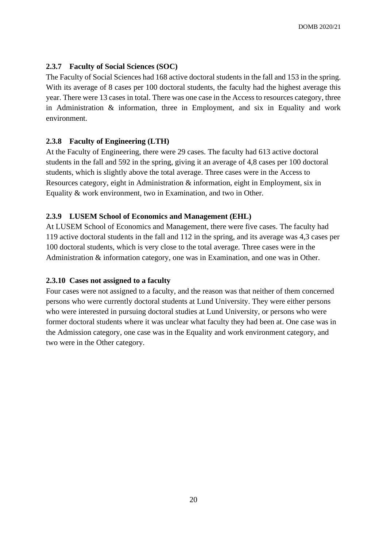# <span id="page-20-0"></span>**2.3.7 Faculty of Social Sciences (SOC)**

The Faculty of Social Sciences had 168 active doctoral students in the fall and 153 in the spring. With its average of 8 cases per 100 doctoral students, the faculty had the highest average this year. There were 13 cases in total. There was one case in the Access to resources category, three in Administration & information, three in Employment, and six in Equality and work environment.

# <span id="page-20-1"></span>**2.3.8 Faculty of Engineering (LTH)**

At the Faculty of Engineering, there were 29 cases. The faculty had 613 active doctoral students in the fall and 592 in the spring, giving it an average of 4,8 cases per 100 doctoral students, which is slightly above the total average. Three cases were in the Access to Resources category, eight in Administration & information, eight in Employment, six in Equality & work environment, two in Examination, and two in Other.

# <span id="page-20-2"></span>**2.3.9 LUSEM School of Economics and Management (EHL)**

At LUSEM School of Economics and Management, there were five cases. The faculty had 119 active doctoral students in the fall and 112 in the spring, and its average was 4,3 cases per 100 doctoral students, which is very close to the total average. Three cases were in the Administration & information category, one was in Examination, and one was in Other.

# <span id="page-20-3"></span>**2.3.10 Cases not assigned to a faculty**

Four cases were not assigned to a faculty, and the reason was that neither of them concerned persons who were currently doctoral students at Lund University. They were either persons who were interested in pursuing doctoral studies at Lund University, or persons who were former doctoral students where it was unclear what faculty they had been at. One case was in the Admission category, one case was in the Equality and work environment category, and two were in the Other category.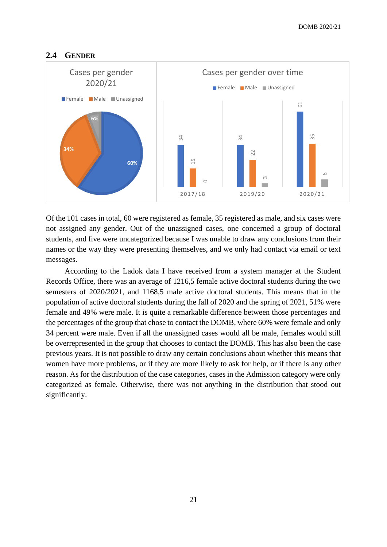# <span id="page-21-0"></span>**2.4 GENDER**



Of the 101 cases in total, 60 were registered as female, 35 registered as male, and six cases were not assigned any gender. Out of the unassigned cases, one concerned a group of doctoral students, and five were uncategorized because I was unable to draw any conclusions from their names or the way they were presenting themselves, and we only had contact via email or text messages.

According to the Ladok data I have received from a system manager at the Student Records Office, there was an average of 1216,5 female active doctoral students during the two semesters of 2020/2021, and 1168,5 male active doctoral students. This means that in the population of active doctoral students during the fall of 2020 and the spring of 2021, 51% were female and 49% were male. It is quite a remarkable difference between those percentages and the percentages of the group that chose to contact the DOMB, where 60% were female and only 34 percent were male. Even if all the unassigned cases would all be male, females would still be overrepresented in the group that chooses to contact the DOMB. This has also been the case previous years. It is not possible to draw any certain conclusions about whether this means that women have more problems, or if they are more likely to ask for help, or if there is any other reason. As for the distribution of the case categories, cases in the Admission category were only categorized as female. Otherwise, there was not anything in the distribution that stood out significantly.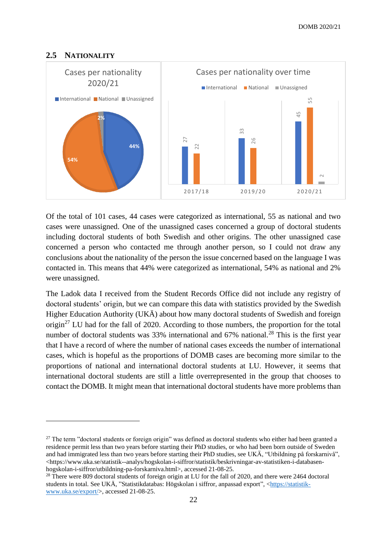# <span id="page-22-0"></span>**2.5 NATIONALITY**



Of the total of 101 cases, 44 cases were categorized as international, 55 as national and two cases were unassigned. One of the unassigned cases concerned a group of doctoral students including doctoral students of both Swedish and other origins. The other unassigned case concerned a person who contacted me through another person, so I could not draw any conclusions about the nationality of the person the issue concerned based on the language I was contacted in. This means that 44% were categorized as international, 54% as national and 2% were unassigned.

The Ladok data I received from the Student Records Office did not include any registry of doctoral students' origin, but we can compare this data with statistics provided by the Swedish Higher Education Authority (UKA) about how many doctoral students of Swedish and foreign origin<sup>27</sup> LU had for the fall of 2020. According to those numbers, the proportion for the total number of doctoral students was  $33\%$  international and  $67\%$  national.<sup>28</sup> This is the first year that I have a record of where the number of national cases exceeds the number of international cases, which is hopeful as the proportions of DOMB cases are becoming more similar to the proportions of national and international doctoral students at LU. However, it seems that international doctoral students are still a little overrepresented in the group that chooses to contact the DOMB. It might mean that international doctoral students have more problems than

 $27$  The term "doctoral students or foreign origin" was defined as doctoral students who either had been granted a residence permit less than two years before starting their PhD studies, or who had been born outside of Sweden and had immigrated less than two years before starting their PhD studies, see UKÄ, "Utbildning på forskarnivå", <https://www.uka.se/statistik--analys/hogskolan-i-siffror/statistik/beskrivningar-av-statistiken-i-databasenhogskolan-i-siffror/utbildning-pa-forskarniva.html>, accessed 21-08-25.

<sup>&</sup>lt;sup>28</sup> There were 809 doctoral students of foreign origin at LU for the fall of 2020, and there were 2464 doctoral students in total. See UKÄ, "Statistikdatabas: Högskolan i siffror, anpassad export", [<https://statistik](https://statistik-www.uka.se/export/)[www.uka.se/export/>](https://statistik-www.uka.se/export/), accessed 21-08-25.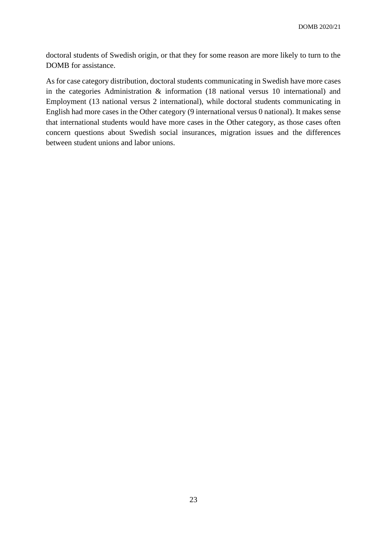doctoral students of Swedish origin, or that they for some reason are more likely to turn to the DOMB for assistance.

As for case category distribution, doctoral students communicating in Swedish have more cases in the categories Administration & information (18 national versus 10 international) and Employment (13 national versus 2 international), while doctoral students communicating in English had more cases in the Other category (9 international versus 0 national). It makes sense that international students would have more cases in the Other category, as those cases often concern questions about Swedish social insurances, migration issues and the differences between student unions and labor unions.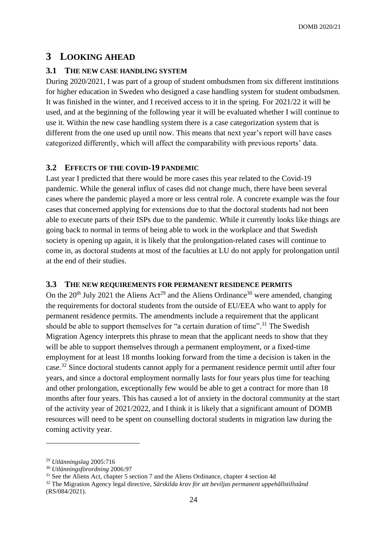# <span id="page-24-0"></span>**3 LOOKING AHEAD**

# <span id="page-24-1"></span>**3.1 THE NEW CASE HANDLING SYSTEM**

During 2020/2021, I was part of a group of student ombudsmen from six different institutions for higher education in Sweden who designed a case handling system for student ombudsmen. It was finished in the winter, and I received access to it in the spring. For 2021/22 it will be used, and at the beginning of the following year it will be evaluated whether I will continue to use it. Within the new case handling system there is a case categorization system that is different from the one used up until now. This means that next year's report will have cases categorized differently, which will affect the comparability with previous reports' data.

# <span id="page-24-2"></span>**3.2 EFFECTS OF THE COVID-19 PANDEMIC**

Last year I predicted that there would be more cases this year related to the Covid-19 pandemic. While the general influx of cases did not change much, there have been several cases where the pandemic played a more or less central role. A concrete example was the four cases that concerned applying for extensions due to that the doctoral students had not been able to execute parts of their ISPs due to the pandemic. While it currently looks like things are going back to normal in terms of being able to work in the workplace and that Swedish society is opening up again, it is likely that the prolongation-related cases will continue to come in, as doctoral students at most of the faculties at LU do not apply for prolongation until at the end of their studies.

# <span id="page-24-3"></span>**3.3 THE NEW REQUIREMENTS FOR PERMANENT RESIDENCE PERMITS**

On the  $20^{th}$  July 2021 the Aliens Act<sup>29</sup> and the Aliens Ordinance<sup>30</sup> were amended, changing the requirements for doctoral students from the outside of EU/EEA who want to apply for permanent residence permits. The amendments include a requirement that the applicant should be able to support themselves for "a certain duration of time".<sup>31</sup> The Swedish Migration Agency interprets this phrase to mean that the applicant needs to show that they will be able to support themselves through a permanent employment, or a fixed-time employment for at least 18 months looking forward from the time a decision is taken in the case.<sup>32</sup> Since doctoral students cannot apply for a permanent residence permit until after four years, and since a doctoral employment normally lasts for four years plus time for teaching and other prolongation, exceptionally few would be able to get a contract for more than 18 months after four years. This has caused a lot of anxiety in the doctoral community at the start of the activity year of 2021/2022, and I think it is likely that a significant amount of DOMB resources will need to be spent on counselling doctoral students in migration law during the coming activity year.

<sup>29</sup> *Utlänningslag* 2005:716

<sup>30</sup> *Utlänningsförordning* 2006:97

<sup>&</sup>lt;sup>31</sup> See the Aliens Act, chapter 5 section 7 and the Aliens Ordinance, chapter 4 section 4d

<sup>32</sup> The Migration Agency legal directive, *Särskilda krav för att beviljas permanent uppehållstillstånd* (RS/084/2021).